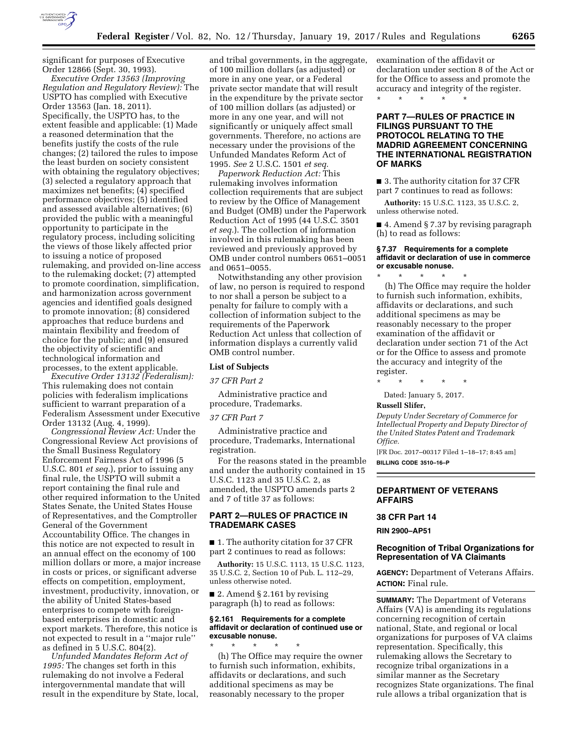

significant for purposes of Executive Order 12866 (Sept. 30, 1993).

*Executive Order 13563 (Improving Regulation and Regulatory Review):* The USPTO has complied with Executive Order 13563 (Jan. 18, 2011). Specifically, the USPTO has, to the extent feasible and applicable: (1) Made a reasoned determination that the benefits justify the costs of the rule changes; (2) tailored the rules to impose the least burden on society consistent with obtaining the regulatory objectives; (3) selected a regulatory approach that maximizes net benefits; (4) specified performance objectives; (5) identified and assessed available alternatives; (6) provided the public with a meaningful opportunity to participate in the regulatory process, including soliciting the views of those likely affected prior to issuing a notice of proposed rulemaking, and provided on-line access to the rulemaking docket; (7) attempted to promote coordination, simplification, and harmonization across government agencies and identified goals designed to promote innovation; (8) considered approaches that reduce burdens and maintain flexibility and freedom of choice for the public; and (9) ensured the objectivity of scientific and technological information and processes, to the extent applicable.

*Executive Order 13132 (Federalism):*  This rulemaking does not contain policies with federalism implications sufficient to warrant preparation of a Federalism Assessment under Executive Order 13132 (Aug. 4, 1999).

*Congressional Review Act:* Under the Congressional Review Act provisions of the Small Business Regulatory Enforcement Fairness Act of 1996 (5 U.S.C. 801 *et seq.*), prior to issuing any final rule, the USPTO will submit a report containing the final rule and other required information to the United States Senate, the United States House of Representatives, and the Comptroller General of the Government Accountability Office. The changes in this notice are not expected to result in an annual effect on the economy of 100 million dollars or more, a major increase in costs or prices, or significant adverse effects on competition, employment, investment, productivity, innovation, or the ability of United States-based enterprises to compete with foreignbased enterprises in domestic and export markets. Therefore, this notice is not expected to result in a ''major rule'' as defined in 5 U.S.C. 804(2).

*Unfunded Mandates Reform Act of 1995:* The changes set forth in this rulemaking do not involve a Federal intergovernmental mandate that will result in the expenditure by State, local,

and tribal governments, in the aggregate, of 100 million dollars (as adjusted) or more in any one year, or a Federal private sector mandate that will result in the expenditure by the private sector of 100 million dollars (as adjusted) or more in any one year, and will not significantly or uniquely affect small governments. Therefore, no actions are necessary under the provisions of the Unfunded Mandates Reform Act of 1995. *See* 2 U.S.C. 1501 *et seq.* 

*Paperwork Reduction Act:* This rulemaking involves information collection requirements that are subject to review by the Office of Management and Budget (OMB) under the Paperwork Reduction Act of 1995 (44 U.S.C. 3501 *et seq.*). The collection of information involved in this rulemaking has been reviewed and previously approved by OMB under control numbers 0651–0051 and 0651–0055.

Notwithstanding any other provision of law, no person is required to respond to nor shall a person be subject to a penalty for failure to comply with a collection of information subject to the requirements of the Paperwork Reduction Act unless that collection of information displays a currently valid OMB control number.

## **List of Subjects**

*37 CFR Part 2* 

Administrative practice and procedure, Trademarks.

#### *37 CFR Part 7*

Administrative practice and procedure, Trademarks, International registration.

For the reasons stated in the preamble and under the authority contained in 15 U.S.C. 1123 and 35 U.S.C. 2, as amended, the USPTO amends parts 2 and 7 of title 37 as follows:

## **PART 2—RULES OF PRACTICE IN TRADEMARK CASES**

■ 1. The authority citation for 37 CFR part 2 continues to read as follows:

**Authority:** 15 U.S.C. 1113, 15 U.S.C. 1123, 35 U.S.C. 2, Section 10 of Pub. L. 112–29, unless otherwise noted.

**2.** Amend § 2.161 by revising paragraph (h) to read as follows:

## **§ 2.161 Requirements for a complete affidavit or declaration of continued use or excusable nonuse.**

\* \* \* \* \* (h) The Office may require the owner to furnish such information, exhibits, affidavits or declarations, and such additional specimens as may be reasonably necessary to the proper

examination of the affidavit or declaration under section 8 of the Act or for the Office to assess and promote the accuracy and integrity of the register.

\* \* \* \* \*

## **PART 7—RULES OF PRACTICE IN FILINGS PURSUANT TO THE PROTOCOL RELATING TO THE MADRID AGREEMENT CONCERNING THE INTERNATIONAL REGISTRATION OF MARKS**

■ 3. The authority citation for 37 CFR part 7 continues to read as follows:

**Authority:** 15 U.S.C. 1123, 35 U.S.C. 2, unless otherwise noted.

■ 4. Amend § 7.37 by revising paragraph (h) to read as follows:

#### **§ 7.37 Requirements for a complete affidavit or declaration of use in commerce or excusable nonuse.**

\* \* \* \* \* (h) The Office may require the holder to furnish such information, exhibits, affidavits or declarations, and such additional specimens as may be reasonably necessary to the proper examination of the affidavit or declaration under section 71 of the Act or for the Office to assess and promote the accuracy and integrity of the register.

\* \* \* \* \*

Dated: January 5, 2017.

## **Russell Slifer,**

*Deputy Under Secretary of Commerce for Intellectual Property and Deputy Director of the United States Patent and Trademark Office.* 

[FR Doc. 2017–00317 Filed 1–18–17; 8:45 am] **BILLING CODE 3510–16–P** 

## **DEPARTMENT OF VETERANS AFFAIRS**

## **38 CFR Part 14**

**RIN 2900–AP51** 

## **Recognition of Tribal Organizations for Representation of VA Claimants**

**AGENCY:** Department of Veterans Affairs. **ACTION:** Final rule.

**SUMMARY:** The Department of Veterans Affairs (VA) is amending its regulations concerning recognition of certain national, State, and regional or local organizations for purposes of VA claims representation. Specifically, this rulemaking allows the Secretary to recognize tribal organizations in a similar manner as the Secretary recognizes State organizations. The final rule allows a tribal organization that is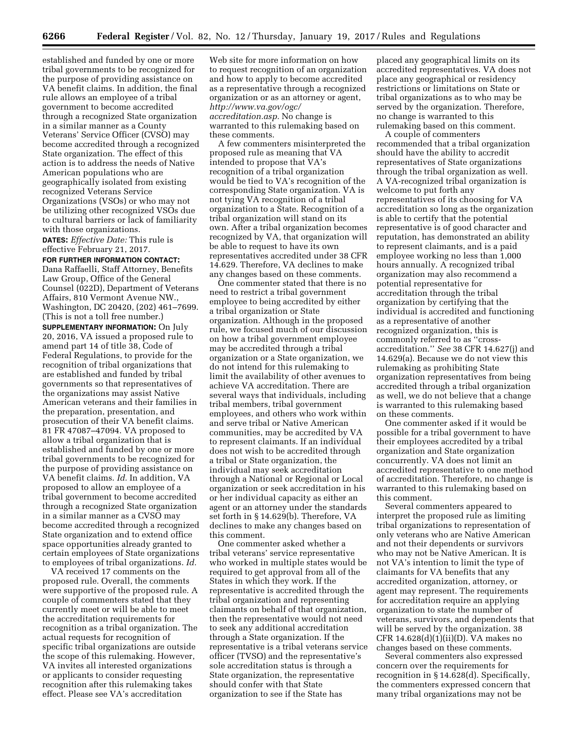established and funded by one or more tribal governments to be recognized for the purpose of providing assistance on VA benefit claims. In addition, the final rule allows an employee of a tribal government to become accredited through a recognized State organization in a similar manner as a County Veterans' Service Officer (CVSO) may become accredited through a recognized State organization. The effect of this action is to address the needs of Native American populations who are geographically isolated from existing recognized Veterans Service Organizations (VSOs) or who may not be utilizing other recognized VSOs due to cultural barriers or lack of familiarity with those organizations.

**DATES:** *Effective Date:* This rule is effective February 21, 2017.

## **FOR FURTHER INFORMATION CONTACT:**

Dana Raffaelli, Staff Attorney, Benefits Law Group, Office of the General Counsel (022D), Department of Veterans Affairs, 810 Vermont Avenue NW., Washington, DC 20420, (202) 461–7699. (This is not a toll free number.)

**SUPPLEMENTARY INFORMATION:** On July 20, 2016, VA issued a proposed rule to amend part 14 of title 38, Code of Federal Regulations, to provide for the recognition of tribal organizations that are established and funded by tribal governments so that representatives of the organizations may assist Native American veterans and their families in the preparation, presentation, and prosecution of their VA benefit claims. 81 FR 47087–47094. VA proposed to allow a tribal organization that is established and funded by one or more tribal governments to be recognized for the purpose of providing assistance on VA benefit claims. *Id.* In addition, VA proposed to allow an employee of a tribal government to become accredited through a recognized State organization in a similar manner as a CVSO may become accredited through a recognized State organization and to extend office space opportunities already granted to certain employees of State organizations to employees of tribal organizations. *Id.* 

VA received 17 comments on the proposed rule. Overall, the comments were supportive of the proposed rule. A couple of commenters stated that they currently meet or will be able to meet the accreditation requirements for recognition as a tribal organization. The actual requests for recognition of specific tribal organizations are outside the scope of this rulemaking. However, VA invites all interested organizations or applicants to consider requesting recognition after this rulemaking takes effect. Please see VA's accreditation

Web site for more information on how to request recognition of an organization and how to apply to become accredited as a representative through a recognized organization or as an attorney or agent, *[http://www.va.gov/ogc/](http://www.va.gov/ogc/accreditation.asp)  [accreditation.asp.](http://www.va.gov/ogc/accreditation.asp)* No change is warranted to this rulemaking based on these comments.

A few commenters misinterpreted the proposed rule as meaning that VA intended to propose that VA's recognition of a tribal organization would be tied to VA's recognition of the corresponding State organization. VA is not tying VA recognition of a tribal organization to a State. Recognition of a tribal organization will stand on its own. After a tribal organization becomes recognized by VA, that organization will be able to request to have its own representatives accredited under 38 CFR 14.629. Therefore, VA declines to make any changes based on these comments.

One commenter stated that there is no need to restrict a tribal government employee to being accredited by either a tribal organization or State organization. Although in the proposed rule, we focused much of our discussion on how a tribal government employee may be accredited through a tribal organization or a State organization, we do not intend for this rulemaking to limit the availability of other avenues to achieve VA accreditation. There are several ways that individuals, including tribal members, tribal government employees, and others who work within and serve tribal or Native American communities, may be accredited by VA to represent claimants. If an individual does not wish to be accredited through a tribal or State organization, the individual may seek accreditation through a National or Regional or Local organization or seek accreditation in his or her individual capacity as either an agent or an attorney under the standards set forth in § 14.629(b). Therefore, VA declines to make any changes based on this comment.

One commenter asked whether a tribal veterans' service representative who worked in multiple states would be required to get approval from all of the States in which they work. If the representative is accredited through the tribal organization and representing claimants on behalf of that organization, then the representative would not need to seek any additional accreditation through a State organization. If the representative is a tribal veterans service officer (TVSO) and the representative's sole accreditation status is through a State organization, the representative should confer with that State organization to see if the State has

placed any geographical limits on its accredited representatives. VA does not place any geographical or residency restrictions or limitations on State or tribal organizations as to who may be served by the organization. Therefore, no change is warranted to this rulemaking based on this comment.

A couple of commenters recommended that a tribal organization should have the ability to accredit representatives of State organizations through the tribal organization as well. A VA-recognized tribal organization is welcome to put forth any representatives of its choosing for VA accreditation so long as the organization is able to certify that the potential representative is of good character and reputation, has demonstrated an ability to represent claimants, and is a paid employee working no less than 1,000 hours annually. A recognized tribal organization may also recommend a potential representative for accreditation through the tribal organization by certifying that the individual is accredited and functioning as a representative of another recognized organization, this is commonly referred to as ''crossaccreditation.'' *See* 38 CFR 14.627(j) and 14.629(a). Because we do not view this rulemaking as prohibiting State organization representatives from being accredited through a tribal organization as well, we do not believe that a change is warranted to this rulemaking based on these comments.

One commenter asked if it would be possible for a tribal government to have their employees accredited by a tribal organization and State organization concurrently. VA does not limit an accredited representative to one method of accreditation. Therefore, no change is warranted to this rulemaking based on this comment.

Several commenters appeared to interpret the proposed rule as limiting tribal organizations to representation of only veterans who are Native American and not their dependents or survivors who may not be Native American. It is not VA's intention to limit the type of claimants for VA benefits that any accredited organization, attorney, or agent may represent. The requirements for accreditation require an applying organization to state the number of veterans, survivors, and dependents that will be served by the organization. 38 CFR  $14.628(d)(1)(ii)(D)$ . VA makes no changes based on these comments.

Several commenters also expressed concern over the requirements for recognition in § 14.628(d). Specifically, the commenters expressed concern that many tribal organizations may not be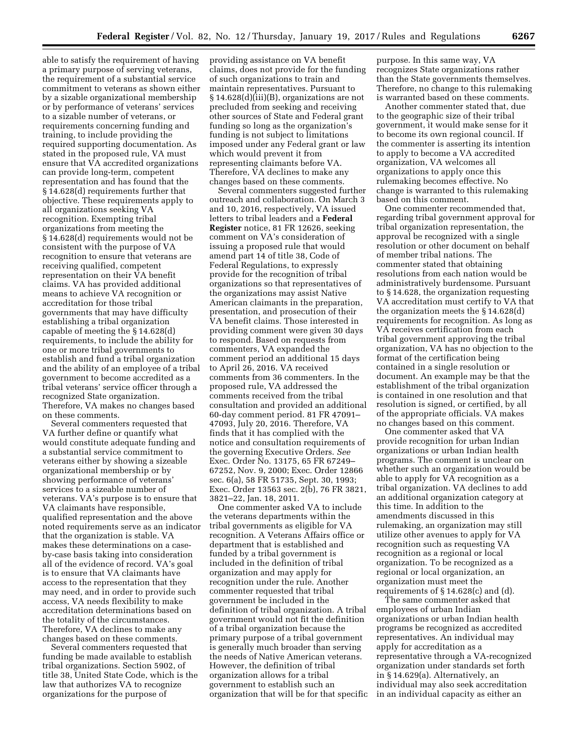able to satisfy the requirement of having a primary purpose of serving veterans, the requirement of a substantial service commitment to veterans as shown either by a sizable organizational membership or by performance of veterans' services to a sizable number of veterans, or requirements concerning funding and training, to include providing the required supporting documentation. As stated in the proposed rule, VA must ensure that VA accredited organizations can provide long-term, competent representation and has found that the § 14.628(d) requirements further that objective. These requirements apply to all organizations seeking VA recognition. Exempting tribal organizations from meeting the § 14.628(d) requirements would not be consistent with the purpose of VA recognition to ensure that veterans are receiving qualified, competent representation on their VA benefit claims. VA has provided additional means to achieve VA recognition or accreditation for those tribal governments that may have difficulty establishing a tribal organization capable of meeting the § 14.628(d) requirements, to include the ability for one or more tribal governments to establish and fund a tribal organization and the ability of an employee of a tribal government to become accredited as a tribal veterans' service officer through a recognized State organization. Therefore, VA makes no changes based on these comments.

Several commenters requested that VA further define or quantify what would constitute adequate funding and a substantial service commitment to veterans either by showing a sizeable organizational membership or by showing performance of veterans' services to a sizeable number of veterans. VA's purpose is to ensure that VA claimants have responsible, qualified representation and the above noted requirements serve as an indicator that the organization is stable. VA makes these determinations on a caseby-case basis taking into consideration all of the evidence of record. VA's goal is to ensure that VA claimants have access to the representation that they may need, and in order to provide such access, VA needs flexibility to make accreditation determinations based on the totality of the circumstances. Therefore, VA declines to make any changes based on these comments.

Several commenters requested that funding be made available to establish tribal organizations. Section 5902, of title 38, United State Code, which is the law that authorizes VA to recognize organizations for the purpose of

providing assistance on VA benefit claims, does not provide for the funding of such organizations to train and maintain representatives. Pursuant to § 14.628(d)(iii)(B), organizations are not precluded from seeking and receiving other sources of State and Federal grant funding so long as the organization's funding is not subject to limitations imposed under any Federal grant or law which would prevent it from representing claimants before VA. Therefore, VA declines to make any changes based on these comments.

Several commenters suggested further outreach and collaboration. On March 3 and 10, 2016, respectively, VA issued letters to tribal leaders and a **Federal Register** notice, 81 FR 12626, seeking comment on VA's consideration of issuing a proposed rule that would amend part 14 of title 38, Code of Federal Regulations, to expressly provide for the recognition of tribal organizations so that representatives of the organizations may assist Native American claimants in the preparation, presentation, and prosecution of their VA benefit claims. Those interested in providing comment were given 30 days to respond. Based on requests from commenters, VA expanded the comment period an additional 15 days to April 26, 2016. VA received comments from 36 commenters. In the proposed rule, VA addressed the comments received from the tribal consultation and provided an additional 60-day comment period. 81 FR 47091– 47093, July 20, 2016. Therefore, VA finds that it has complied with the notice and consultation requirements of the governing Executive Orders. *See*  Exec. Order No. 13175, 65 FR 67249– 67252, Nov. 9, 2000; Exec. Order 12866 sec. 6(a), 58 FR 51735, Sept. 30, 1993; Exec. Order 13563 sec. 2(b), 76 FR 3821, 3821–22, Jan. 18, 2011.

One commenter asked VA to include the veterans departments within the tribal governments as eligible for VA recognition. A Veterans Affairs office or department that is established and funded by a tribal government is included in the definition of tribal organization and may apply for recognition under the rule. Another commenter requested that tribal government be included in the definition of tribal organization. A tribal government would not fit the definition of a tribal organization because the primary purpose of a tribal government is generally much broader than serving the needs of Native American veterans. However, the definition of tribal organization allows for a tribal government to establish such an organization that will be for that specific

purpose. In this same way, VA recognizes State organizations rather than the State governments themselves. Therefore, no change to this rulemaking is warranted based on these comments.

Another commenter stated that, due to the geographic size of their tribal government, it would make sense for it to become its own regional council. If the commenter is asserting its intention to apply to become a VA accredited organization, VA welcomes all organizations to apply once this rulemaking becomes effective. No change is warranted to this rulemaking based on this comment.

One commenter recommended that, regarding tribal government approval for tribal organization representation, the approval be recognized with a single resolution or other document on behalf of member tribal nations. The commenter stated that obtaining resolutions from each nation would be administratively burdensome. Pursuant to § 14.628, the organization requesting VA accreditation must certify to VA that the organization meets the § 14.628(d) requirements for recognition. As long as VA receives certification from each tribal government approving the tribal organization, VA has no objection to the format of the certification being contained in a single resolution or document. An example may be that the establishment of the tribal organization is contained in one resolution and that resolution is signed, or certified, by all of the appropriate officials. VA makes no changes based on this comment.

One commenter asked that VA provide recognition for urban Indian organizations or urban Indian health programs. The comment is unclear on whether such an organization would be able to apply for VA recognition as a tribal organization. VA declines to add an additional organization category at this time. In addition to the amendments discussed in this rulemaking, an organization may still utilize other avenues to apply for VA recognition such as requesting VA recognition as a regional or local organization. To be recognized as a regional or local organization, an organization must meet the requirements of  $\S 14.628(c)$  and (d).

The same commenter asked that employees of urban Indian organizations or urban Indian health programs be recognized as accredited representatives. An individual may apply for accreditation as a representative through a VA-recognized organization under standards set forth in § 14.629(a). Alternatively, an individual may also seek accreditation in an individual capacity as either an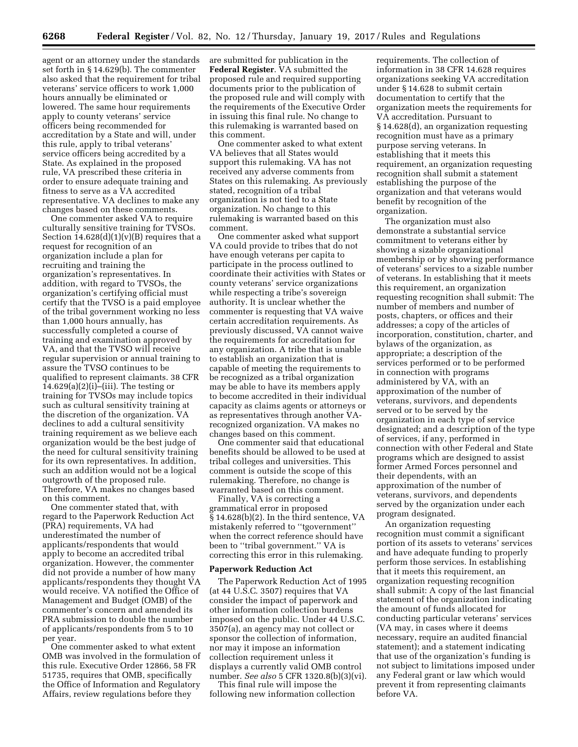agent or an attorney under the standards set forth in § 14.629(b). The commenter also asked that the requirement for tribal veterans' service officers to work 1,000 hours annually be eliminated or lowered. The same hour requirements apply to county veterans' service officers being recommended for accreditation by a State and will, under this rule, apply to tribal veterans' service officers being accredited by a State. As explained in the proposed rule, VA prescribed these criteria in order to ensure adequate training and fitness to serve as a VA accredited representative. VA declines to make any changes based on these comments.

One commenter asked VA to require culturally sensitive training for TVSOs. Section  $14.628(d)(1)(v)(B)$  requires that a request for recognition of an organization include a plan for recruiting and training the organization's representatives. In addition, with regard to TVSOs, the organization's certifying official must certify that the TVSO is a paid employee of the tribal government working no less than 1,000 hours annually, has successfully completed a course of training and examination approved by VA, and that the TVSO will receive regular supervision or annual training to assure the TVSO continues to be qualified to represent claimants. 38 CFR  $14.629(a)(2)(i)$ –(iii). The testing or training for TVSOs may include topics such as cultural sensitivity training at the discretion of the organization. VA declines to add a cultural sensitivity training requirement as we believe each organization would be the best judge of the need for cultural sensitivity training for its own representatives. In addition, such an addition would not be a logical outgrowth of the proposed rule. Therefore, VA makes no changes based on this comment.

One commenter stated that, with regard to the Paperwork Reduction Act (PRA) requirements, VA had underestimated the number of applicants/respondents that would apply to become an accredited tribal organization. However, the commenter did not provide a number of how many applicants/respondents they thought VA would receive. VA notified the Office of Management and Budget (OMB) of the commenter's concern and amended its PRA submission to double the number of applicants/respondents from 5 to 10 per year.

One commenter asked to what extent OMB was involved in the formulation of this rule. Executive Order 12866, 58 FR 51735, requires that OMB, specifically the Office of Information and Regulatory Affairs, review regulations before they

are submitted for publication in the **Federal Register**. VA submitted the proposed rule and required supporting documents prior to the publication of the proposed rule and will comply with the requirements of the Executive Order in issuing this final rule. No change to this rulemaking is warranted based on this comment.

One commenter asked to what extent VA believes that all States would support this rulemaking. VA has not received any adverse comments from States on this rulemaking. As previously stated, recognition of a tribal organization is not tied to a State organization. No change to this rulemaking is warranted based on this comment.

One commenter asked what support VA could provide to tribes that do not have enough veterans per capita to participate in the process outlined to coordinate their activities with States or county veterans' service organizations while respecting a tribe's sovereign authority. It is unclear whether the commenter is requesting that VA waive certain accreditation requirements. As previously discussed, VA cannot waive the requirements for accreditation for any organization. A tribe that is unable to establish an organization that is capable of meeting the requirements to be recognized as a tribal organization may be able to have its members apply to become accredited in their individual capacity as claims agents or attorneys or as representatives through another VArecognized organization. VA makes no changes based on this comment.

One commenter said that educational benefits should be allowed to be used at tribal colleges and universities. This comment is outside the scope of this rulemaking. Therefore, no change is warranted based on this comment.

Finally, VA is correcting a grammatical error in proposed § 14.628(b)(2). In the third sentence, VA mistakenly referred to ''tgovernment'' when the correct reference should have been to ''tribal government.'' VA is correcting this error in this rulemaking.

## **Paperwork Reduction Act**

The Paperwork Reduction Act of 1995 (at 44 U.S.C. 3507) requires that VA consider the impact of paperwork and other information collection burdens imposed on the public. Under 44 U.S.C. 3507(a), an agency may not collect or sponsor the collection of information, nor may it impose an information collection requirement unless it displays a currently valid OMB control number. *See also* 5 CFR 1320.8(b)(3)(vi).

This final rule will impose the following new information collection

requirements. The collection of information in 38 CFR 14.628 requires organizations seeking VA accreditation under § 14.628 to submit certain documentation to certify that the organization meets the requirements for VA accreditation. Pursuant to § 14.628(d), an organization requesting recognition must have as a primary purpose serving veterans. In establishing that it meets this requirement, an organization requesting recognition shall submit a statement establishing the purpose of the organization and that veterans would benefit by recognition of the organization.

The organization must also demonstrate a substantial service commitment to veterans either by showing a sizable organizational membership or by showing performance of veterans' services to a sizable number of veterans. In establishing that it meets this requirement, an organization requesting recognition shall submit: The number of members and number of posts, chapters, or offices and their addresses; a copy of the articles of incorporation, constitution, charter, and bylaws of the organization, as appropriate; a description of the services performed or to be performed in connection with programs administered by VA, with an approximation of the number of veterans, survivors, and dependents served or to be served by the organization in each type of service designated; and a description of the type of services, if any, performed in connection with other Federal and State programs which are designed to assist former Armed Forces personnel and their dependents, with an approximation of the number of veterans, survivors, and dependents served by the organization under each program designated.

An organization requesting recognition must commit a significant portion of its assets to veterans' services and have adequate funding to properly perform those services. In establishing that it meets this requirement, an organization requesting recognition shall submit: A copy of the last financial statement of the organization indicating the amount of funds allocated for conducting particular veterans' services (VA may, in cases where it deems necessary, require an audited financial statement); and a statement indicating that use of the organization's funding is not subject to limitations imposed under any Federal grant or law which would prevent it from representing claimants before VA.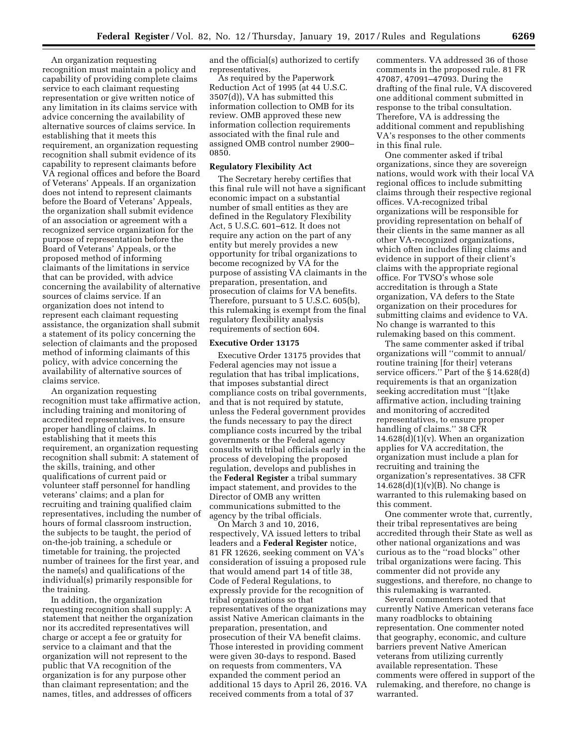An organization requesting recognition must maintain a policy and capability of providing complete claims service to each claimant requesting representation or give written notice of any limitation in its claims service with advice concerning the availability of alternative sources of claims service. In establishing that it meets this requirement, an organization requesting recognition shall submit evidence of its capability to represent claimants before VA regional offices and before the Board of Veterans' Appeals. If an organization does not intend to represent claimants before the Board of Veterans' Appeals, the organization shall submit evidence of an association or agreement with a recognized service organization for the purpose of representation before the Board of Veterans' Appeals, or the proposed method of informing claimants of the limitations in service that can be provided, with advice concerning the availability of alternative sources of claims service. If an organization does not intend to represent each claimant requesting assistance, the organization shall submit a statement of its policy concerning the selection of claimants and the proposed method of informing claimants of this policy, with advice concerning the availability of alternative sources of claims service.

An organization requesting recognition must take affirmative action, including training and monitoring of accredited representatives, to ensure proper handling of claims. In establishing that it meets this requirement, an organization requesting recognition shall submit: A statement of the skills, training, and other qualifications of current paid or volunteer staff personnel for handling veterans' claims; and a plan for recruiting and training qualified claim representatives, including the number of hours of formal classroom instruction, the subjects to be taught, the period of on-the-job training, a schedule or timetable for training, the projected number of trainees for the first year, and the name(s) and qualifications of the individual(s) primarily responsible for the training.

In addition, the organization requesting recognition shall supply: A statement that neither the organization nor its accredited representatives will charge or accept a fee or gratuity for service to a claimant and that the organization will not represent to the public that VA recognition of the organization is for any purpose other than claimant representation; and the names, titles, and addresses of officers

and the official(s) authorized to certify representatives.

As required by the Paperwork Reduction Act of 1995 (at 44 U.S.C. 3507(d)), VA has submitted this information collection to OMB for its review. OMB approved these new information collection requirements associated with the final rule and assigned OMB control number 2900– 0850.

## **Regulatory Flexibility Act**

The Secretary hereby certifies that this final rule will not have a significant economic impact on a substantial number of small entities as they are defined in the Regulatory Flexibility Act, 5 U.S.C. 601–612. It does not require any action on the part of any entity but merely provides a new opportunity for tribal organizations to become recognized by VA for the purpose of assisting VA claimants in the preparation, presentation, and prosecution of claims for VA benefits. Therefore, pursuant to 5 U.S.C. 605(b), this rulemaking is exempt from the final regulatory flexibility analysis requirements of section 604.

#### **Executive Order 13175**

Executive Order 13175 provides that Federal agencies may not issue a regulation that has tribal implications, that imposes substantial direct compliance costs on tribal governments, and that is not required by statute, unless the Federal government provides the funds necessary to pay the direct compliance costs incurred by the tribal governments or the Federal agency consults with tribal officials early in the process of developing the proposed regulation, develops and publishes in the **Federal Register** a tribal summary impact statement, and provides to the Director of OMB any written communications submitted to the agency by the tribal officials.

On March 3 and 10, 2016, respectively, VA issued letters to tribal leaders and a **Federal Register** notice, 81 FR 12626, seeking comment on VA's consideration of issuing a proposed rule that would amend part 14 of title 38, Code of Federal Regulations, to expressly provide for the recognition of tribal organizations so that representatives of the organizations may assist Native American claimants in the preparation, presentation, and prosecution of their VA benefit claims. Those interested in providing comment were given 30-days to respond. Based on requests from commenters, VA expanded the comment period an additional 15 days to April 26, 2016. VA received comments from a total of 37

commenters. VA addressed 36 of those comments in the proposed rule. 81 FR 47087, 47091–47093. During the drafting of the final rule, VA discovered one additional comment submitted in response to the tribal consultation. Therefore, VA is addressing the additional comment and republishing VA's responses to the other comments in this final rule.

One commenter asked if tribal organizations, since they are sovereign nations, would work with their local VA regional offices to include submitting claims through their respective regional offices. VA-recognized tribal organizations will be responsible for providing representation on behalf of their clients in the same manner as all other VA-recognized organizations, which often includes filing claims and evidence in support of their client's claims with the appropriate regional office. For TVSO's whose sole accreditation is through a State organization, VA defers to the State organization on their procedures for submitting claims and evidence to VA. No change is warranted to this rulemaking based on this comment.

The same commenter asked if tribal organizations will ''commit to annual/ routine training [for their] veterans service officers.'' Part of the § 14.628(d) requirements is that an organization seeking accreditation must ''[t]ake affirmative action, including training and monitoring of accredited representatives, to ensure proper handling of claims.'' 38 CFR  $14.628(d)(1)(v)$ . When an organization applies for VA accreditation, the organization must include a plan for recruiting and training the organization's representatives. 38 CFR  $14.628(d)(1)(v)(B)$ . No change is warranted to this rulemaking based on this comment.

One commenter wrote that, currently, their tribal representatives are being accredited through their State as well as other national organizations and was curious as to the ''road blocks'' other tribal organizations were facing. This commenter did not provide any suggestions, and therefore, no change to this rulemaking is warranted.

Several commenters noted that currently Native American veterans face many roadblocks to obtaining representation. One commenter noted that geography, economic, and culture barriers prevent Native American veterans from utilizing currently available representation. These comments were offered in support of the rulemaking, and therefore, no change is warranted.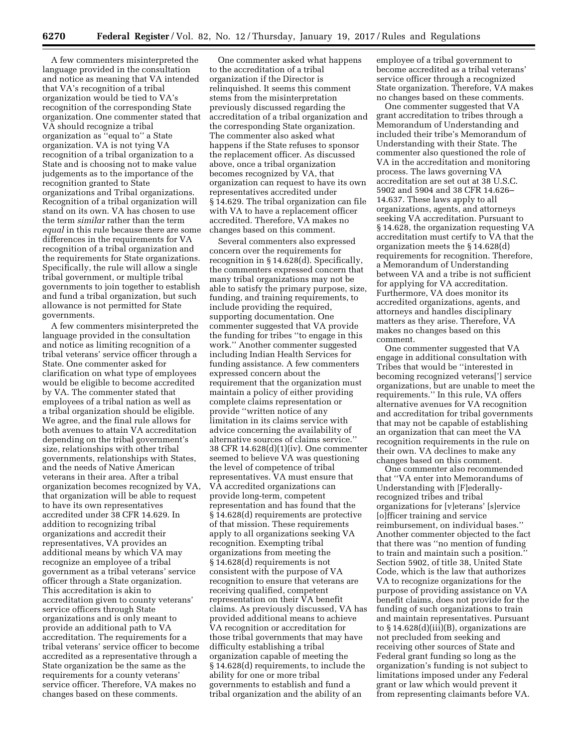A few commenters misinterpreted the language provided in the consultation and notice as meaning that VA intended that VA's recognition of a tribal organization would be tied to VA's recognition of the corresponding State organization. One commenter stated that VA should recognize a tribal organization as ''equal to'' a State organization. VA is not tying VA recognition of a tribal organization to a State and is choosing not to make value judgements as to the importance of the recognition granted to State organizations and Tribal organizations. Recognition of a tribal organization will stand on its own. VA has chosen to use the term *similar* rather than the term *equal* in this rule because there are some differences in the requirements for VA recognition of a tribal organization and the requirements for State organizations. Specifically, the rule will allow a single tribal government, or multiple tribal governments to join together to establish and fund a tribal organization, but such allowance is not permitted for State governments.

A few commenters misinterpreted the language provided in the consultation and notice as limiting recognition of a tribal veterans' service officer through a State. One commenter asked for clarification on what type of employees would be eligible to become accredited by VA. The commenter stated that employees of a tribal nation as well as a tribal organization should be eligible. We agree, and the final rule allows for both avenues to attain VA accreditation depending on the tribal government's size, relationships with other tribal governments, relationships with States, and the needs of Native American veterans in their area. After a tribal organization becomes recognized by VA, that organization will be able to request to have its own representatives accredited under 38 CFR 14.629. In addition to recognizing tribal organizations and accredit their representatives, VA provides an additional means by which VA may recognize an employee of a tribal government as a tribal veterans' service officer through a State organization. This accreditation is akin to accreditation given to county veterans' service officers through State organizations and is only meant to provide an additional path to VA accreditation. The requirements for a tribal veterans' service officer to become accredited as a representative through a State organization be the same as the requirements for a county veterans' service officer. Therefore, VA makes no changes based on these comments.

One commenter asked what happens to the accreditation of a tribal organization if the Director is relinquished. It seems this comment stems from the misinterpretation previously discussed regarding the accreditation of a tribal organization and the corresponding State organization. The commenter also asked what happens if the State refuses to sponsor the replacement officer. As discussed above, once a tribal organization becomes recognized by VA, that organization can request to have its own representatives accredited under § 14.629. The tribal organization can file with VA to have a replacement officer accredited. Therefore, VA makes no changes based on this comment.

Several commenters also expressed concern over the requirements for recognition in § 14.628(d). Specifically, the commenters expressed concern that many tribal organizations may not be able to satisfy the primary purpose, size, funding, and training requirements, to include providing the required, supporting documentation. One commenter suggested that VA provide the funding for tribes ''to engage in this work.'' Another commenter suggested including Indian Health Services for funding assistance. A few commenters expressed concern about the requirement that the organization must maintain a policy of either providing complete claims representation or provide ''written notice of any limitation in its claims service with advice concerning the availability of alternative sources of claims service.'' 38 CFR 14.628(d)(1)(iv). One commenter seemed to believe VA was questioning the level of competence of tribal representatives. VA must ensure that VA accredited organizations can provide long-term, competent representation and has found that the § 14.628(d) requirements are protective of that mission. These requirements apply to all organizations seeking VA recognition. Exempting tribal organizations from meeting the § 14.628(d) requirements is not consistent with the purpose of VA recognition to ensure that veterans are receiving qualified, competent representation on their VA benefit claims. As previously discussed, VA has provided additional means to achieve VA recognition or accreditation for those tribal governments that may have difficulty establishing a tribal organization capable of meeting the § 14.628(d) requirements, to include the ability for one or more tribal governments to establish and fund a tribal organization and the ability of an

employee of a tribal government to become accredited as a tribal veterans' service officer through a recognized State organization. Therefore, VA makes no changes based on these comments.

One commenter suggested that VA grant accreditation to tribes through a Memorandum of Understanding and included their tribe's Memorandum of Understanding with their State. The commenter also questioned the role of VA in the accreditation and monitoring process. The laws governing VA accreditation are set out at 38 U.S.C. 5902 and 5904 and 38 CFR 14.626– 14.637. These laws apply to all organizations, agents, and attorneys seeking VA accreditation. Pursuant to § 14.628, the organization requesting VA accreditation must certify to VA that the organization meets the § 14.628(d) requirements for recognition. Therefore, a Memorandum of Understanding between VA and a tribe is not sufficient for applying for VA accreditation. Furthermore, VA does monitor its accredited organizations, agents, and attorneys and handles disciplinary matters as they arise. Therefore, VA makes no changes based on this comment.

One commenter suggested that VA engage in additional consultation with Tribes that would be ''interested in becoming recognized veterans['] service organizations, but are unable to meet the requirements.'' In this rule, VA offers alternative avenues for VA recognition and accreditation for tribal governments that may not be capable of establishing an organization that can meet the VA recognition requirements in the rule on their own. VA declines to make any changes based on this comment.

One commenter also recommended that ''VA enter into Memorandums of Understanding with [F]ederallyrecognized tribes and tribal organizations for [v]eterans' [s]ervice [o]fficer training and service reimbursement, on individual bases.'' Another commenter objected to the fact that there was ''no mention of funding to train and maintain such a position.'' Section 5902, of title 38, United State Code, which is the law that authorizes VA to recognize organizations for the purpose of providing assistance on VA benefit claims, does not provide for the funding of such organizations to train and maintain representatives. Pursuant to  $\S 14.628(d)(iii)(B)$ , organizations are not precluded from seeking and receiving other sources of State and Federal grant funding so long as the organization's funding is not subject to limitations imposed under any Federal grant or law which would prevent it from representing claimants before VA.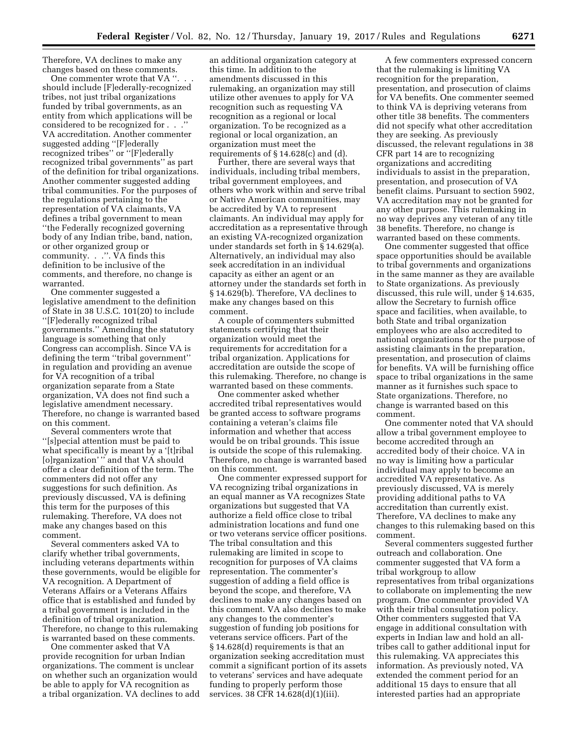Therefore, VA declines to make any changes based on these comments.

One commenter wrote that VA  $\cdot$ should include [F]ederally-recognized tribes, not just tribal organizations funded by tribal governments, as an entity from which applications will be considered to be recognized for . . .'' VA accreditation. Another commenter suggested adding ''[F]ederally recognized tribes'' or ''[F]ederally recognized tribal governments'' as part of the definition for tribal organizations. Another commenter suggested adding tribal communities. For the purposes of the regulations pertaining to the representation of VA claimants, VA defines a tribal government to mean ''the Federally recognized governing body of any Indian tribe, band, nation, or other organized group or community. . .''. VA finds this definition to be inclusive of the comments, and therefore, no change is warranted.

One commenter suggested a legislative amendment to the definition of State in 38 U.S.C. 101(20) to include ''[F]ederally recognized tribal governments.'' Amending the statutory language is something that only Congress can accomplish. Since VA is defining the term ''tribal government'' in regulation and providing an avenue for VA recognition of a tribal organization separate from a State organization, VA does not find such a legislative amendment necessary. Therefore, no change is warranted based on this comment.

Several commenters wrote that ''[s]pecial attention must be paid to what specifically is meant by a '[t]ribal [o]rganization' '' and that VA should offer a clear definition of the term. The commenters did not offer any suggestions for such definition. As previously discussed, VA is defining this term for the purposes of this rulemaking. Therefore, VA does not make any changes based on this comment.

Several commenters asked VA to clarify whether tribal governments, including veterans departments within these governments, would be eligible for VA recognition. A Department of Veterans Affairs or a Veterans Affairs office that is established and funded by a tribal government is included in the definition of tribal organization. Therefore, no change to this rulemaking is warranted based on these comments.

One commenter asked that VA provide recognition for urban Indian organizations. The comment is unclear on whether such an organization would be able to apply for VA recognition as a tribal organization. VA declines to add

an additional organization category at this time. In addition to the amendments discussed in this rulemaking, an organization may still utilize other avenues to apply for VA recognition such as requesting VA recognition as a regional or local organization. To be recognized as a regional or local organization, an organization must meet the requirements of  $\S 14.628(c)$  and (d).

Further, there are several ways that individuals, including tribal members, tribal government employees, and others who work within and serve tribal or Native American communities, may be accredited by VA to represent claimants. An individual may apply for accreditation as a representative through an existing VA-recognized organization under standards set forth in § 14.629(a). Alternatively, an individual may also seek accreditation in an individual capacity as either an agent or an attorney under the standards set forth in § 14.629(b). Therefore, VA declines to make any changes based on this comment.

A couple of commenters submitted statements certifying that their organization would meet the requirements for accreditation for a tribal organization. Applications for accreditation are outside the scope of this rulemaking. Therefore, no change is warranted based on these comments.

One commenter asked whether accredited tribal representatives would be granted access to software programs containing a veteran's claims file information and whether that access would be on tribal grounds. This issue is outside the scope of this rulemaking. Therefore, no change is warranted based on this comment.

One commenter expressed support for VA recognizing tribal organizations in an equal manner as VA recognizes State organizations but suggested that VA authorize a field office close to tribal administration locations and fund one or two veterans service officer positions. The tribal consultation and this rulemaking are limited in scope to recognition for purposes of VA claims representation. The commenter's suggestion of adding a field office is beyond the scope, and therefore, VA declines to make any changes based on this comment. VA also declines to make any changes to the commenter's suggestion of funding job positions for veterans service officers. Part of the § 14.628(d) requirements is that an organization seeking accreditation must commit a significant portion of its assets to veterans' services and have adequate funding to properly perform those services. 38 CFR 14.628(d)(1)(iii).

A few commenters expressed concern that the rulemaking is limiting VA recognition for the preparation, presentation, and prosecution of claims for VA benefits. One commenter seemed to think VA is depriving veterans from other title 38 benefits. The commenters did not specify what other accreditation they are seeking. As previously discussed, the relevant regulations in 38 CFR part 14 are to recognizing organizations and accrediting individuals to assist in the preparation, presentation, and prosecution of VA benefit claims. Pursuant to section 5902, VA accreditation may not be granted for any other purpose. This rulemaking in no way deprives any veteran of any title 38 benefits. Therefore, no change is warranted based on these comments.

One commenter suggested that office space opportunities should be available to tribal governments and organizations in the same manner as they are available to State organizations. As previously discussed, this rule will, under § 14.635, allow the Secretary to furnish office space and facilities, when available, to both State and tribal organization employees who are also accredited to national organizations for the purpose of assisting claimants in the preparation, presentation, and prosecution of claims for benefits. VA will be furnishing office space to tribal organizations in the same manner as it furnishes such space to State organizations. Therefore, no change is warranted based on this comment.

One commenter noted that VA should allow a tribal government employee to become accredited through an accredited body of their choice. VA in no way is limiting how a particular individual may apply to become an accredited VA representative. As previously discussed, VA is merely providing additional paths to VA accreditation than currently exist. Therefore, VA declines to make any changes to this rulemaking based on this comment.

Several commenters suggested further outreach and collaboration. One commenter suggested that VA form a tribal workgroup to allow representatives from tribal organizations to collaborate on implementing the new program. One commenter provided VA with their tribal consultation policy. Other commenters suggested that VA engage in additional consultation with experts in Indian law and hold an alltribes call to gather additional input for this rulemaking. VA appreciates this information. As previously noted, VA extended the comment period for an additional 15 days to ensure that all interested parties had an appropriate